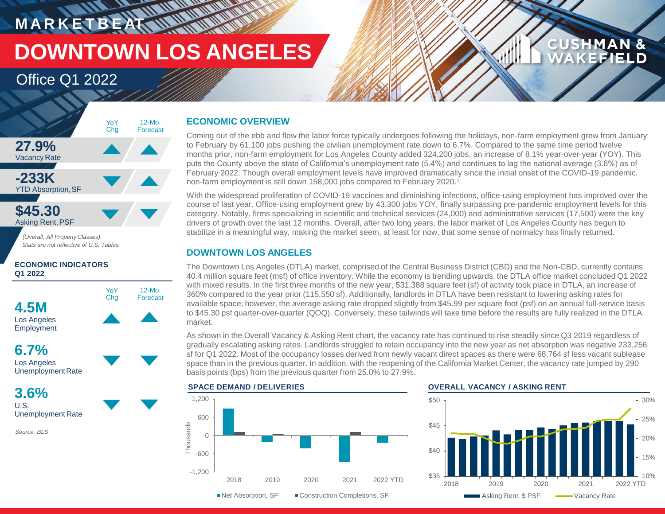# **MARKETBEAT WWW.WWW DOWNTOWN LOS ANGELES**

## Office Q1 2022



YoY Chg

12-Mo. Forecast

## **4.5M** Los Angeles Employment

**6.7%** Los Angeles Unemployment Rate

**3.6%** U.S. Unemployment Rate

*Source: BLS*

### **ECONOMIC OVERVIEW**

Coming out of the ebb and flow the labor force typically undergoes following the holidays, non-farm employment grew from January to February by 61,100 jobs pushing the civilian unemployment rate down to 6.7%. Compared to the same time period twelve months prior, non-farm employment for Los Angeles County added 324,200 jobs, an increase of 8.1% year-over-year (YOY). This puts the County above the state of California's unemployment rate (5.4%) and continues to lag the national average (3.6%) as of February 2022. Though overall employment levels have improved dramatically since the initial onset of the COVID-19 pandemic, non-farm employment is still down 158,000 jobs compared to February 2020.<sup>1</sup>

With the widespread proliferation of COVID-19 vaccines and diminishing infections, office-using employment has improved over the course of last year. Office-using employment grew by 43,300 jobs YOY, finally surpassing pre-pandemic employment levels for this category. Notably, firms specializing in scientific and technical services (24,000) and administrative services (17,500) were the key drivers of growth over the last 12 months. Overall, after two long years, the labor market of Los Angeles County has begun to stabilize in a meaningful way, making the market seem, at least for now, that some sense of normalcy has finally returned.

### **DOWNTOWN LOS ANGELES**

The Downtown Los Angeles (DTLA) market, comprised of the Central Business District (CBD) and the Non-CBD, currently contains 40.4 million square feet (msf) of office inventory. While the economy is trending upwards, the DTLA office market concluded Q1 2022 with mixed results. In the first three months of the new year, 531,388 square feet (sf) of activity took place in DTLA, an increase of 360% compared to the year prior (115,550 sf). Additionally, landlords in DTLA have been resistant to lowering asking rates for available space; however, the average asking rate dropped slightly from \$45.99 per square foot (psf) on an annual full-service basis to \$45.30 psf quarter-over-quarter (QOQ). Conversely, these tailwinds will take time before the results are fully realized in the DTLA market.

As shown in the Overall Vacancy & Asking Rent chart, the vacancy rate has continued to rise steadily since Q3 2019 regardless of gradually escalating asking rates. Landlords struggled to retain occupancy into the new year as net absorption was negative 233,256 sf for Q1 2022. Most of the occupancy losses derived from newly vacant direct spaces as there were 68,764 sf less vacant sublease space than in the previous quarter. In addition, with the reopening of the California Market Center, the vacancy rate jumped by 290 basis points (bps) from the previous quarter from 25.0% to 27.9%.





**CUSHMAN &** 

FFIELD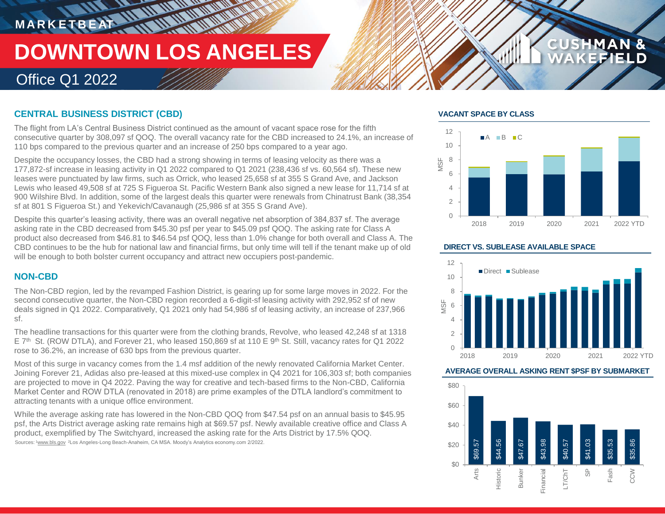# **MARKETBEAT 11.10 MMWWW**

# **DOWNTOWN LOS ANGELES**

**THERMANNING** 

## Office Q1 2022

### **CENTRAL BUSINESS DISTRICT (CBD)**

The flight from LA's Central Business District continued as the amount of vacant space rose for the fifth consecutive quarter by 308,097 sf QOQ. The overall vacancy rate for the CBD increased to 24.1%, an increase of 110 bps compared to the previous quarter and an increase of 250 bps compared to a year ago.

Despite the occupancy losses, the CBD had a strong showing in terms of leasing velocity as there was a 177,872-sf increase in leasing activity in Q1 2022 compared to Q1 2021 (238,436 sf vs. 60,564 sf). These new leases were punctuated by law firms, such as Orrick, who leased 25,658 sf at 355 S Grand Ave, and Jackson Lewis who leased 49,508 sf at 725 S Figueroa St. Pacific Western Bank also signed a new lease for 11,714 sf at 900 Wilshire Blvd. In addition, some of the largest deals this quarter were renewals from Chinatrust Bank (38,354 sf at 801 S Figueroa St.) and Yekevich/Cavanaugh (25,986 sf at 355 S Grand Ave).

Despite this quarter's leasing activity, there was an overall negative net absorption of 384,837 sf. The average asking rate in the CBD decreased from \$45.30 psf per year to \$45.09 psf QOQ. The asking rate for Class A product also decreased from \$46.81 to \$46.54 psf QOQ, less than 1.0% change for both overall and Class A. The CBD continues to be the hub for national law and financial firms, but only time will tell if the tenant make up of old will be enough to both bolster current occupancy and attract new occupiers post-pandemic.

### **NON-CBD**

The Non-CBD region, led by the revamped Fashion District, is gearing up for some large moves in 2022. For the second consecutive quarter, the Non-CBD region recorded a 6-digit-sf leasing activity with 292,952 sf of new deals signed in Q1 2022. Comparatively, Q1 2021 only had 54,986 sf of leasing activity, an increase of 237,966 sf.

The headline transactions for this quarter were from the clothing brands, Revolve, who leased 42,248 sf at 1318  $E$  7<sup>th</sup> St. (ROW DTLA), and Forever 21, who leased 150,869 sf at 110 E 9<sup>th</sup> St. Still, vacancy rates for Q1 2022 rose to 36.2%, an increase of 630 bps from the previous quarter.

Most of this surge in vacancy comes from the 1.4 msf addition of the newly renovated California Market Center. Joining Forever 21, Adidas also pre-leased at this mixed-use complex in Q4 2021 for 106,303 sf; both companies are projected to move in Q4 2022. Paving the way for creative and tech-based firms to the Non-CBD, California Market Center and ROW DTLA (renovated in 2018) are prime examples of the DTLA landlord's commitment to attracting tenants with a unique office environment.

While the average asking rate has lowered in the Non-CBD QOQ from \$47.54 psf on an annual basis to \$45.95 psf, the Arts District average asking rate remains high at \$69.57 psf. Newly available creative office and Class A product, exemplified by The Switchyard, increased the asking rate for the Arts District by 17.5% QOQ.

Sources: 1www.bls.gov <sup>2</sup>Los Angeles-Long Beach-Anaheim, CA MSA. Moody's Analytics economy.com 2/2022.

### **VACANT SPACE BY CLASS**



**CUSHMAN &** 

FIELD

### **DIRECT VS. SUBLEASE AVAILABLE SPACE**



### **AVERAGE OVERALL ASKING RENT \$PSF BY SUBMARKET**